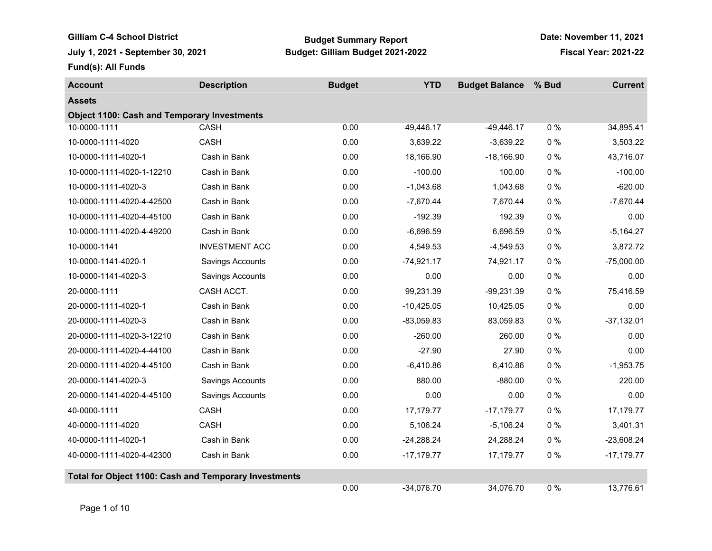Gilliam C-4 School District **Budget Summary Report July 1, 2021 - September 30, 2021 Budget: Gilliam Budget 2021-2022 Fiscal Year: 2021-22**

**Date: November 11, 2021**

**Fund(s): All Funds**

| <b>Account</b>                                               | <b>Description</b>      | <b>Budget</b> | <b>YTD</b>   | <b>Budget Balance</b> | % Bud | <b>Current</b> |
|--------------------------------------------------------------|-------------------------|---------------|--------------|-----------------------|-------|----------------|
| <b>Assets</b>                                                |                         |               |              |                       |       |                |
| <b>Object 1100: Cash and Temporary Investments</b>           |                         |               |              |                       |       |                |
| 10-0000-1111                                                 | <b>CASH</b>             | 0.00          | 49,446.17    | $-49,446.17$          | 0%    | 34,895.41      |
| 10-0000-1111-4020                                            | <b>CASH</b>             | 0.00          | 3,639.22     | $-3,639.22$           | $0\%$ | 3,503.22       |
| 10-0000-1111-4020-1                                          | Cash in Bank            | 0.00          | 18,166.90    | $-18,166.90$          | $0\%$ | 43,716.07      |
| 10-0000-1111-4020-1-12210                                    | Cash in Bank            | 0.00          | $-100.00$    | 100.00                | $0\%$ | $-100.00$      |
| 10-0000-1111-4020-3                                          | Cash in Bank            | 0.00          | $-1,043.68$  | 1,043.68              | $0\%$ | $-620.00$      |
| 10-0000-1111-4020-4-42500                                    | Cash in Bank            | 0.00          | $-7,670.44$  | 7,670.44              | $0\%$ | $-7,670.44$    |
| 10-0000-1111-4020-4-45100                                    | Cash in Bank            | 0.00          | $-192.39$    | 192.39                | $0\%$ | 0.00           |
| 10-0000-1111-4020-4-49200                                    | Cash in Bank            | 0.00          | $-6,696.59$  | 6,696.59              | $0\%$ | $-5,164.27$    |
| 10-0000-1141                                                 | <b>INVESTMENT ACC</b>   | 0.00          | 4,549.53     | $-4,549.53$           | $0\%$ | 3,872.72       |
| 10-0000-1141-4020-1                                          | <b>Savings Accounts</b> | 0.00          | $-74,921.17$ | 74,921.17             | $0\%$ | $-75,000.00$   |
| 10-0000-1141-4020-3                                          | Savings Accounts        | 0.00          | 0.00         | 0.00                  | $0\%$ | 0.00           |
| 20-0000-1111                                                 | CASH ACCT.              | 0.00          | 99,231.39    | $-99,231.39$          | $0\%$ | 75,416.59      |
| 20-0000-1111-4020-1                                          | Cash in Bank            | 0.00          | $-10,425.05$ | 10,425.05             | $0\%$ | 0.00           |
| 20-0000-1111-4020-3                                          | Cash in Bank            | 0.00          | $-83,059.83$ | 83,059.83             | $0\%$ | $-37,132.01$   |
| 20-0000-1111-4020-3-12210                                    | Cash in Bank            | 0.00          | $-260.00$    | 260.00                | $0\%$ | 0.00           |
| 20-0000-1111-4020-4-44100                                    | Cash in Bank            | 0.00          | $-27.90$     | 27.90                 | $0\%$ | 0.00           |
| 20-0000-1111-4020-4-45100                                    | Cash in Bank            | 0.00          | $-6,410.86$  | 6,410.86              | $0\%$ | $-1,953.75$    |
| 20-0000-1141-4020-3                                          | Savings Accounts        | 0.00          | 880.00       | $-880.00$             | $0\%$ | 220.00         |
| 20-0000-1141-4020-4-45100                                    | Savings Accounts        | 0.00          | 0.00         | 0.00                  | $0\%$ | 0.00           |
| 40-0000-1111                                                 | <b>CASH</b>             | 0.00          | 17,179.77    | $-17,179.77$          | $0\%$ | 17,179.77      |
| 40-0000-1111-4020                                            | CASH                    | 0.00          | 5,106.24     | $-5,106.24$           | $0\%$ | 3,401.31       |
| 40-0000-1111-4020-1                                          | Cash in Bank            | 0.00          | $-24,288.24$ | 24,288.24             | $0\%$ | $-23,608.24$   |
| 40-0000-1111-4020-4-42300                                    | Cash in Bank            | 0.00          | $-17,179.77$ | 17,179.77             | $0\%$ | $-17,179.77$   |
| <b>Total for Object 1100: Cash and Temporary Investments</b> |                         |               |              |                       |       |                |
|                                                              |                         | 0.00          | $-34,076.70$ | 34,076.70             | 0%    | 13,776.61      |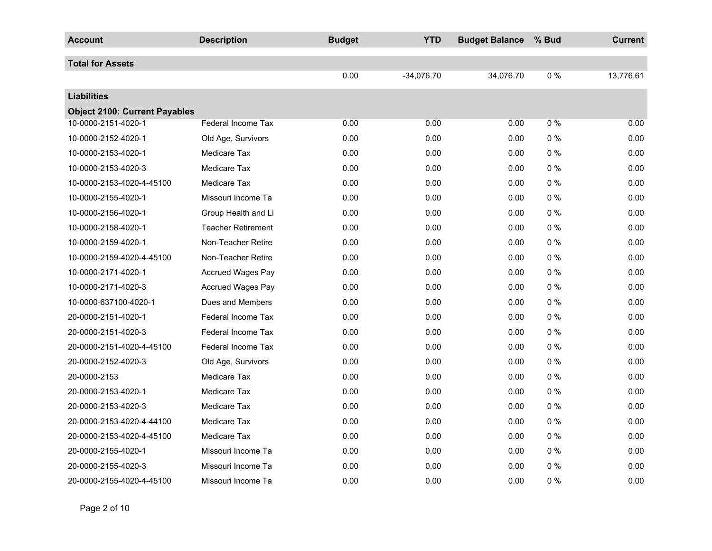| <b>Account</b>                       | <b>Description</b>        | <b>Budget</b> | <b>YTD</b>   | <b>Budget Balance</b> | % Bud | <b>Current</b> |
|--------------------------------------|---------------------------|---------------|--------------|-----------------------|-------|----------------|
| <b>Total for Assets</b>              |                           |               |              |                       |       |                |
|                                      |                           | 0.00          | $-34,076.70$ | 34,076.70             | $0\%$ | 13,776.61      |
| <b>Liabilities</b>                   |                           |               |              |                       |       |                |
| <b>Object 2100: Current Payables</b> |                           |               |              |                       |       |                |
| 10-0000-2151-4020-1                  | <b>Federal Income Tax</b> | 0.00          | 0.00         | 0.00                  | 0%    | 0.00           |
| 10-0000-2152-4020-1                  | Old Age, Survivors        | 0.00          | 0.00         | 0.00                  | $0\%$ | 0.00           |
| 10-0000-2153-4020-1                  | <b>Medicare Tax</b>       | 0.00          | 0.00         | 0.00                  | $0\%$ | 0.00           |
| 10-0000-2153-4020-3                  | <b>Medicare Tax</b>       | 0.00          | 0.00         | 0.00                  | $0\%$ | 0.00           |
| 10-0000-2153-4020-4-45100            | Medicare Tax              | 0.00          | 0.00         | 0.00                  | $0\%$ | 0.00           |
| 10-0000-2155-4020-1                  | Missouri Income Ta        | 0.00          | 0.00         | 0.00                  | $0\%$ | 0.00           |
| 10-0000-2156-4020-1                  | Group Health and Li       | 0.00          | 0.00         | 0.00                  | $0\%$ | 0.00           |
| 10-0000-2158-4020-1                  | <b>Teacher Retirement</b> | 0.00          | 0.00         | 0.00                  | $0\%$ | 0.00           |
| 10-0000-2159-4020-1                  | Non-Teacher Retire        | 0.00          | 0.00         | 0.00                  | $0\%$ | 0.00           |
| 10-0000-2159-4020-4-45100            | Non-Teacher Retire        | 0.00          | 0.00         | 0.00                  | $0\%$ | 0.00           |
| 10-0000-2171-4020-1                  | <b>Accrued Wages Pay</b>  | 0.00          | 0.00         | 0.00                  | $0\%$ | 0.00           |
| 10-0000-2171-4020-3                  | <b>Accrued Wages Pay</b>  | 0.00          | 0.00         | 0.00                  | $0\%$ | 0.00           |
| 10-0000-637100-4020-1                | Dues and Members          | 0.00          | 0.00         | 0.00                  | $0\%$ | 0.00           |
| 20-0000-2151-4020-1                  | <b>Federal Income Tax</b> | 0.00          | 0.00         | 0.00                  | $0\%$ | 0.00           |
| 20-0000-2151-4020-3                  | <b>Federal Income Tax</b> | 0.00          | 0.00         | 0.00                  | $0\%$ | 0.00           |
| 20-0000-2151-4020-4-45100            | <b>Federal Income Tax</b> | 0.00          | 0.00         | 0.00                  | $0\%$ | 0.00           |
| 20-0000-2152-4020-3                  | Old Age, Survivors        | 0.00          | 0.00         | 0.00                  | 0%    | 0.00           |
| 20-0000-2153                         | <b>Medicare Tax</b>       | 0.00          | 0.00         | 0.00                  | $0\%$ | 0.00           |
| 20-0000-2153-4020-1                  | <b>Medicare Tax</b>       | 0.00          | 0.00         | 0.00                  | $0\%$ | 0.00           |
| 20-0000-2153-4020-3                  | <b>Medicare Tax</b>       | 0.00          | 0.00         | 0.00                  | $0\%$ | 0.00           |
| 20-0000-2153-4020-4-44100            | <b>Medicare Tax</b>       | 0.00          | 0.00         | 0.00                  | $0\%$ | 0.00           |
| 20-0000-2153-4020-4-45100            | <b>Medicare Tax</b>       | 0.00          | 0.00         | 0.00                  | $0\%$ | 0.00           |
| 20-0000-2155-4020-1                  | Missouri Income Ta        | 0.00          | 0.00         | 0.00                  | $0\%$ | 0.00           |
| 20-0000-2155-4020-3                  | Missouri Income Ta        | 0.00          | 0.00         | 0.00                  | $0\%$ | 0.00           |
| 20-0000-2155-4020-4-45100            | Missouri Income Ta        | 0.00          | 0.00         | 0.00                  | $0\%$ | 0.00           |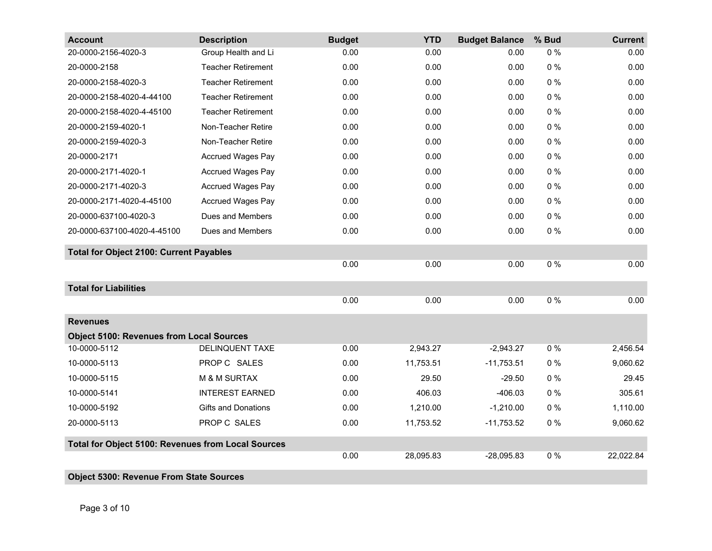| <b>Account</b>                                     | <b>Description</b>         | <b>Budget</b> | <b>YTD</b> | <b>Budget Balance</b> | % Bud | <b>Current</b> |
|----------------------------------------------------|----------------------------|---------------|------------|-----------------------|-------|----------------|
| 20-0000-2156-4020-3                                | Group Health and Li        | 0.00          | 0.00       | 0.00                  | $0\%$ | 0.00           |
| 20-0000-2158                                       | <b>Teacher Retirement</b>  | 0.00          | 0.00       | 0.00                  | $0\%$ | 0.00           |
| 20-0000-2158-4020-3                                | <b>Teacher Retirement</b>  | 0.00          | 0.00       | 0.00                  | $0\%$ | 0.00           |
| 20-0000-2158-4020-4-44100                          | <b>Teacher Retirement</b>  | 0.00          | 0.00       | 0.00                  | $0\%$ | 0.00           |
| 20-0000-2158-4020-4-45100                          | <b>Teacher Retirement</b>  | 0.00          | 0.00       | 0.00                  | $0\%$ | 0.00           |
| 20-0000-2159-4020-1                                | Non-Teacher Retire         | 0.00          | 0.00       | 0.00                  | $0\%$ | 0.00           |
| 20-0000-2159-4020-3                                | Non-Teacher Retire         | 0.00          | 0.00       | 0.00                  | $0\%$ | 0.00           |
| 20-0000-2171                                       | <b>Accrued Wages Pay</b>   | 0.00          | 0.00       | 0.00                  | $0\%$ | 0.00           |
| 20-0000-2171-4020-1                                | <b>Accrued Wages Pay</b>   | 0.00          | 0.00       | 0.00                  | $0\%$ | 0.00           |
| 20-0000-2171-4020-3                                | <b>Accrued Wages Pay</b>   | 0.00          | 0.00       | 0.00                  | $0\%$ | 0.00           |
| 20-0000-2171-4020-4-45100                          | <b>Accrued Wages Pay</b>   | 0.00          | 0.00       | 0.00                  | $0\%$ | 0.00           |
| 20-0000-637100-4020-3                              | Dues and Members           | 0.00          | 0.00       | 0.00                  | $0\%$ | 0.00           |
| 20-0000-637100-4020-4-45100                        | Dues and Members           | 0.00          | 0.00       | 0.00                  | $0\%$ | 0.00           |
| <b>Total for Object 2100: Current Payables</b>     |                            |               |            |                       |       |                |
|                                                    |                            | 0.00          | 0.00       | 0.00                  | $0\%$ | 0.00           |
| <b>Total for Liabilities</b>                       |                            |               |            |                       |       |                |
|                                                    |                            | 0.00          | 0.00       | 0.00                  | 0%    | 0.00           |
| <b>Revenues</b>                                    |                            |               |            |                       |       |                |
| <b>Object 5100: Revenues from Local Sources</b>    |                            |               |            |                       |       |                |
| 10-0000-5112                                       | DELINQUENT TAXE            | 0.00          | 2,943.27   | $-2,943.27$           | 0%    | 2,456.54       |
| 10-0000-5113                                       | PROP C SALES               | 0.00          | 11,753.51  | $-11,753.51$          | $0\%$ | 9,060.62       |
| 10-0000-5115                                       | M & M SURTAX               | 0.00          | 29.50      | $-29.50$              | $0\%$ | 29.45          |
| 10-0000-5141                                       | <b>INTEREST EARNED</b>     | 0.00          | 406.03     | $-406.03$             | $0\%$ | 305.61         |
| 10-0000-5192                                       | <b>Gifts and Donations</b> | 0.00          | 1,210.00   | $-1,210.00$           | $0\%$ | 1,110.00       |
| 20-0000-5113                                       | PROP C SALES               | 0.00          | 11,753.52  | $-11,753.52$          | $0\%$ | 9,060.62       |
| Total for Object 5100: Revenues from Local Sources |                            |               |            |                       |       |                |
|                                                    |                            | 0.00          | 28,095.83  | $-28,095.83$          | $0\%$ | 22,022.84      |
| <b>Object 5300: Revenue From State Sources</b>     |                            |               |            |                       |       |                |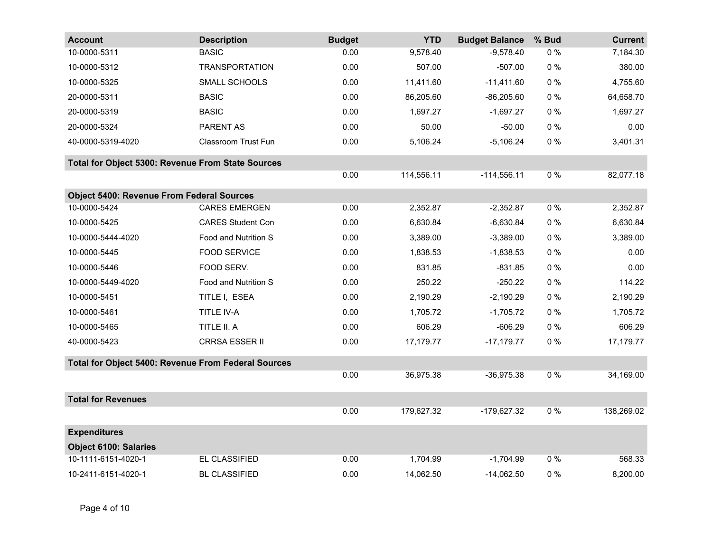| <b>Account</b>                                      | <b>Description</b>         | <b>Budget</b> | <b>YTD</b> | <b>Budget Balance</b> | % Bud | <b>Current</b> |
|-----------------------------------------------------|----------------------------|---------------|------------|-----------------------|-------|----------------|
| 10-0000-5311                                        | <b>BASIC</b>               | 0.00          | 9,578.40   | $-9,578.40$           | $0\%$ | 7,184.30       |
| 10-0000-5312                                        | <b>TRANSPORTATION</b>      | 0.00          | 507.00     | $-507.00$             | $0\%$ | 380.00         |
| 10-0000-5325                                        | SMALL SCHOOLS              | 0.00          | 11,411.60  | $-11,411.60$          | $0\%$ | 4,755.60       |
| 20-0000-5311                                        | <b>BASIC</b>               | 0.00          | 86,205.60  | $-86,205.60$          | $0\%$ | 64,658.70      |
| 20-0000-5319                                        | <b>BASIC</b>               | 0.00          | 1,697.27   | $-1,697.27$           | $0\%$ | 1,697.27       |
| 20-0000-5324                                        | PARENT AS                  | 0.00          | 50.00      | $-50.00$              | $0\%$ | 0.00           |
| 40-0000-5319-4020                                   | <b>Classroom Trust Fun</b> | 0.00          | 5,106.24   | $-5,106.24$           | $0\%$ | 3,401.31       |
| Total for Object 5300: Revenue From State Sources   |                            |               |            |                       |       |                |
|                                                     |                            | 0.00          | 114,556.11 | $-114,556.11$         | $0\%$ | 82,077.18      |
| <b>Object 5400: Revenue From Federal Sources</b>    |                            |               |            |                       |       |                |
| 10-0000-5424                                        | <b>CARES EMERGEN</b>       | 0.00          | 2,352.87   | $-2,352.87$           | $0\%$ | 2,352.87       |
| 10-0000-5425                                        | <b>CARES Student Con</b>   | 0.00          | 6,630.84   | $-6,630.84$           | $0\%$ | 6,630.84       |
| 10-0000-5444-4020                                   | Food and Nutrition S       | 0.00          | 3,389.00   | $-3,389.00$           | $0\%$ | 3,389.00       |
| 10-0000-5445                                        | <b>FOOD SERVICE</b>        | 0.00          | 1,838.53   | $-1,838.53$           | $0\%$ | 0.00           |
| 10-0000-5446                                        | FOOD SERV.                 | 0.00          | 831.85     | $-831.85$             | $0\%$ | 0.00           |
| 10-0000-5449-4020                                   | Food and Nutrition S       | 0.00          | 250.22     | $-250.22$             | $0\%$ | 114.22         |
| 10-0000-5451                                        | TITLE I, ESEA              | 0.00          | 2,190.29   | $-2,190.29$           | $0\%$ | 2,190.29       |
| 10-0000-5461                                        | TITLE IV-A                 | 0.00          | 1,705.72   | $-1,705.72$           | $0\%$ | 1,705.72       |
| 10-0000-5465                                        | TITLE II. A                | 0.00          | 606.29     | $-606.29$             | $0\%$ | 606.29         |
| 40-0000-5423                                        | <b>CRRSA ESSER II</b>      | 0.00          | 17,179.77  | $-17,179.77$          | $0\%$ | 17,179.77      |
| Total for Object 5400: Revenue From Federal Sources |                            |               |            |                       |       |                |
|                                                     |                            | 0.00          | 36,975.38  | $-36,975.38$          | $0\%$ | 34,169.00      |
| <b>Total for Revenues</b>                           |                            |               |            |                       |       |                |
|                                                     |                            | 0.00          | 179,627.32 | -179,627.32           | $0\%$ | 138,269.02     |
| <b>Expenditures</b>                                 |                            |               |            |                       |       |                |
| <b>Object 6100: Salaries</b>                        |                            |               |            |                       |       |                |
| 10-1111-6151-4020-1                                 | EL CLASSIFIED              | 0.00          | 1,704.99   | $-1,704.99$           | $0\%$ | 568.33         |
| 10-2411-6151-4020-1                                 | <b>BL CLASSIFIED</b>       | 0.00          | 14,062.50  | $-14,062.50$          | $0\%$ | 8,200.00       |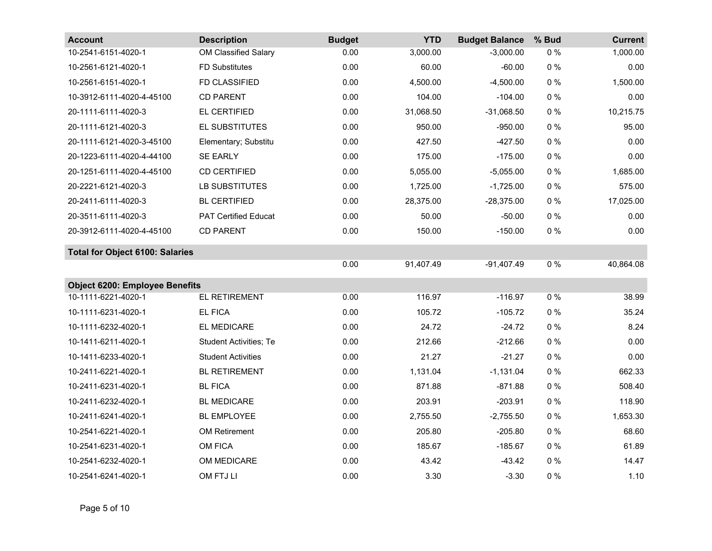| <b>Account</b>                         | <b>Description</b>            | <b>Budget</b> | <b>YTD</b> | <b>Budget Balance</b> | % Bud | <b>Current</b> |
|----------------------------------------|-------------------------------|---------------|------------|-----------------------|-------|----------------|
| 10-2541-6151-4020-1                    | OM Classified Salary          | 0.00          | 3,000.00   | $-3,000.00$           | $0\%$ | 1,000.00       |
| 10-2561-6121-4020-1                    | <b>FD Substitutes</b>         | 0.00          | 60.00      | $-60.00$              | $0\%$ | 0.00           |
| 10-2561-6151-4020-1                    | <b>FD CLASSIFIED</b>          | 0.00          | 4,500.00   | $-4,500.00$           | $0\%$ | 1,500.00       |
| 10-3912-6111-4020-4-45100              | <b>CD PARENT</b>              | 0.00          | 104.00     | $-104.00$             | $0\%$ | 0.00           |
| 20-1111-6111-4020-3                    | EL CERTIFIED                  | 0.00          | 31,068.50  | $-31,068.50$          | $0\%$ | 10,215.75      |
| 20-1111-6121-4020-3                    | EL SUBSTITUTES                | 0.00          | 950.00     | $-950.00$             | $0\%$ | 95.00          |
| 20-1111-6121-4020-3-45100              | Elementary; Substitu          | 0.00          | 427.50     | $-427.50$             | $0\%$ | 0.00           |
| 20-1223-6111-4020-4-44100              | <b>SE EARLY</b>               | 0.00          | 175.00     | $-175.00$             | $0\%$ | 0.00           |
| 20-1251-6111-4020-4-45100              | <b>CD CERTIFIED</b>           | 0.00          | 5,055.00   | $-5,055.00$           | $0\%$ | 1,685.00       |
| 20-2221-6121-4020-3                    | LB SUBSTITUTES                | 0.00          | 1,725.00   | $-1,725.00$           | $0\%$ | 575.00         |
| 20-2411-6111-4020-3                    | <b>BL CERTIFIED</b>           | 0.00          | 28,375.00  | $-28,375.00$          | $0\%$ | 17,025.00      |
| 20-3511-6111-4020-3                    | <b>PAT Certified Educat</b>   | 0.00          | 50.00      | $-50.00$              | $0\%$ | 0.00           |
| 20-3912-6111-4020-4-45100              | <b>CD PARENT</b>              | 0.00          | 150.00     | $-150.00$             | $0\%$ | 0.00           |
| <b>Total for Object 6100: Salaries</b> |                               |               |            |                       |       |                |
|                                        |                               | 0.00          | 91,407.49  | $-91,407.49$          | $0\%$ | 40,864.08      |
| <b>Object 6200: Employee Benefits</b>  |                               |               |            |                       |       |                |
| 10-1111-6221-4020-1                    | <b>EL RETIREMENT</b>          | 0.00          | 116.97     | $-116.97$             | $0\%$ | 38.99          |
| 10-1111-6231-4020-1                    | <b>EL FICA</b>                | 0.00          | 105.72     | $-105.72$             | $0\%$ | 35.24          |
| 10-1111-6232-4020-1                    | EL MEDICARE                   | 0.00          | 24.72      | $-24.72$              | $0\%$ | 8.24           |
| 10-1411-6211-4020-1                    | <b>Student Activities; Te</b> | 0.00          | 212.66     | $-212.66$             | $0\%$ | 0.00           |
| 10-1411-6233-4020-1                    | <b>Student Activities</b>     | 0.00          | 21.27      | $-21.27$              | $0\%$ | 0.00           |
| 10-2411-6221-4020-1                    | <b>BL RETIREMENT</b>          | 0.00          | 1,131.04   | $-1,131.04$           | $0\%$ | 662.33         |
| 10-2411-6231-4020-1                    | <b>BL FICA</b>                | 0.00          | 871.88     | $-871.88$             | $0\%$ | 508.40         |
| 10-2411-6232-4020-1                    | <b>BL MEDICARE</b>            | 0.00          | 203.91     | $-203.91$             | $0\%$ | 118.90         |
| 10-2411-6241-4020-1                    | <b>BL EMPLOYEE</b>            | 0.00          | 2,755.50   | $-2,755.50$           | $0\%$ | 1,653.30       |
| 10-2541-6221-4020-1                    | OM Retirement                 | 0.00          | 205.80     | $-205.80$             | $0\%$ | 68.60          |
| 10-2541-6231-4020-1                    | OM FICA                       | 0.00          | 185.67     | $-185.67$             | $0\%$ | 61.89          |
| 10-2541-6232-4020-1                    | OM MEDICARE                   | 0.00          | 43.42      | $-43.42$              | $0\%$ | 14.47          |
| 10-2541-6241-4020-1                    | OM FTJ LI                     | 0.00          | 3.30       | $-3.30$               | $0\%$ | 1.10           |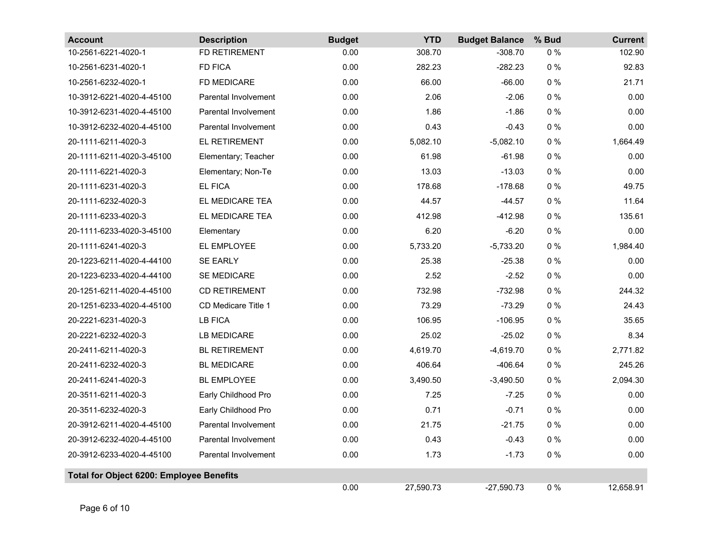| <b>Account</b>                                  | <b>Description</b>          | <b>Budget</b> | <b>YTD</b> | <b>Budget Balance</b> | % Bud | <b>Current</b> |
|-------------------------------------------------|-----------------------------|---------------|------------|-----------------------|-------|----------------|
| 10-2561-6221-4020-1                             | FD RETIREMENT               | 0.00          | 308.70     | $-308.70$             | $0\%$ | 102.90         |
| 10-2561-6231-4020-1                             | <b>FD FICA</b>              | 0.00          | 282.23     | $-282.23$             | $0\%$ | 92.83          |
| 10-2561-6232-4020-1                             | FD MEDICARE                 | 0.00          | 66.00      | $-66.00$              | $0\%$ | 21.71          |
| 10-3912-6221-4020-4-45100                       | <b>Parental Involvement</b> | 0.00          | 2.06       | $-2.06$               | $0\%$ | 0.00           |
| 10-3912-6231-4020-4-45100                       | <b>Parental Involvement</b> | 0.00          | 1.86       | $-1.86$               | $0\%$ | 0.00           |
| 10-3912-6232-4020-4-45100                       | Parental Involvement        | 0.00          | 0.43       | $-0.43$               | $0\%$ | 0.00           |
| 20-1111-6211-4020-3                             | EL RETIREMENT               | 0.00          | 5,082.10   | $-5,082.10$           | $0\%$ | 1,664.49       |
| 20-1111-6211-4020-3-45100                       | Elementary; Teacher         | 0.00          | 61.98      | $-61.98$              | $0\%$ | 0.00           |
| 20-1111-6221-4020-3                             | Elementary; Non-Te          | 0.00          | 13.03      | $-13.03$              | $0\%$ | 0.00           |
| 20-1111-6231-4020-3                             | <b>EL FICA</b>              | 0.00          | 178.68     | $-178.68$             | $0\%$ | 49.75          |
| 20-1111-6232-4020-3                             | EL MEDICARE TEA             | 0.00          | 44.57      | $-44.57$              | $0\%$ | 11.64          |
| 20-1111-6233-4020-3                             | EL MEDICARE TEA             | 0.00          | 412.98     | $-412.98$             | $0\%$ | 135.61         |
| 20-1111-6233-4020-3-45100                       | Elementary                  | 0.00          | 6.20       | $-6.20$               | $0\%$ | 0.00           |
| 20-1111-6241-4020-3                             | EL EMPLOYEE                 | 0.00          | 5,733.20   | $-5,733.20$           | $0\%$ | 1,984.40       |
| 20-1223-6211-4020-4-44100                       | <b>SE EARLY</b>             | 0.00          | 25.38      | $-25.38$              | $0\%$ | 0.00           |
| 20-1223-6233-4020-4-44100                       | <b>SE MEDICARE</b>          | 0.00          | 2.52       | $-2.52$               | $0\%$ | 0.00           |
| 20-1251-6211-4020-4-45100                       | <b>CD RETIREMENT</b>        | 0.00          | 732.98     | $-732.98$             | $0\%$ | 244.32         |
| 20-1251-6233-4020-4-45100                       | CD Medicare Title 1         | 0.00          | 73.29      | $-73.29$              | $0\%$ | 24.43          |
| 20-2221-6231-4020-3                             | <b>LB FICA</b>              | 0.00          | 106.95     | $-106.95$             | $0\%$ | 35.65          |
| 20-2221-6232-4020-3                             | <b>LB MEDICARE</b>          | 0.00          | 25.02      | $-25.02$              | $0\%$ | 8.34           |
| 20-2411-6211-4020-3                             | <b>BL RETIREMENT</b>        | 0.00          | 4,619.70   | $-4,619.70$           | $0\%$ | 2,771.82       |
| 20-2411-6232-4020-3                             | <b>BL MEDICARE</b>          | 0.00          | 406.64     | $-406.64$             | $0\%$ | 245.26         |
| 20-2411-6241-4020-3                             | <b>BL EMPLOYEE</b>          | 0.00          | 3,490.50   | $-3,490.50$           | $0\%$ | 2,094.30       |
| 20-3511-6211-4020-3                             | Early Childhood Pro         | 0.00          | 7.25       | $-7.25$               | $0\%$ | 0.00           |
| 20-3511-6232-4020-3                             | Early Childhood Pro         | 0.00          | 0.71       | $-0.71$               | $0\%$ | 0.00           |
| 20-3912-6211-4020-4-45100                       | <b>Parental Involvement</b> | 0.00          | 21.75      | $-21.75$              | $0\%$ | 0.00           |
| 20-3912-6232-4020-4-45100                       | <b>Parental Involvement</b> | 0.00          | 0.43       | $-0.43$               | $0\%$ | 0.00           |
| 20-3912-6233-4020-4-45100                       | Parental Involvement        | 0.00          | 1.73       | $-1.73$               | $0\%$ | 0.00           |
| <b>Total for Object 6200: Employee Benefits</b> |                             |               |            |                       |       |                |
|                                                 |                             | 0.00          | 27,590.73  | $-27,590.73$          | $0\%$ | 12,658.91      |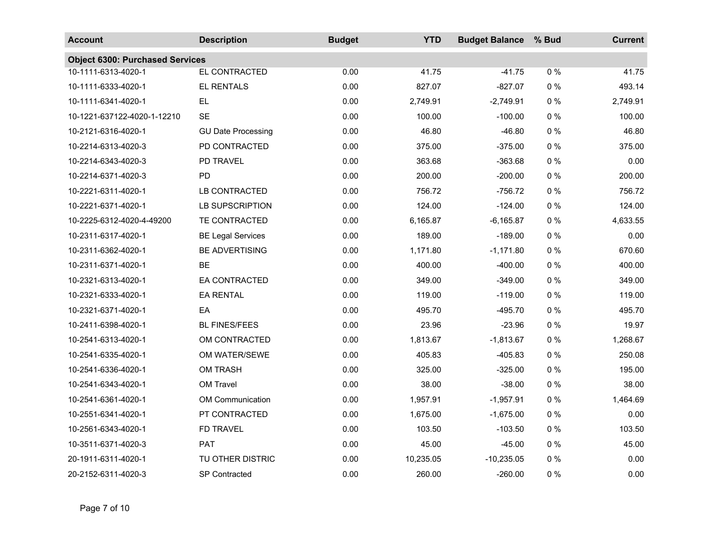| <b>Account</b>                         | <b>Description</b>        | <b>Budget</b> | <b>YTD</b> | <b>Budget Balance</b> | % Bud | <b>Current</b> |
|----------------------------------------|---------------------------|---------------|------------|-----------------------|-------|----------------|
| <b>Object 6300: Purchased Services</b> |                           |               |            |                       |       |                |
| 10-1111-6313-4020-1                    | EL CONTRACTED             | 0.00          | 41.75      | $-41.75$              | 0%    | 41.75          |
| 10-1111-6333-4020-1                    | <b>EL RENTALS</b>         | 0.00          | 827.07     | $-827.07$             | $0\%$ | 493.14         |
| 10-1111-6341-4020-1                    | <b>EL</b>                 | 0.00          | 2,749.91   | $-2,749.91$           | $0\%$ | 2,749.91       |
| 10-1221-637122-4020-1-12210            | <b>SE</b>                 | 0.00          | 100.00     | $-100.00$             | $0\%$ | 100.00         |
| 10-2121-6316-4020-1                    | <b>GU Date Processing</b> | 0.00          | 46.80      | $-46.80$              | $0\%$ | 46.80          |
| 10-2214-6313-4020-3                    | PD CONTRACTED             | 0.00          | 375.00     | $-375.00$             | $0\%$ | 375.00         |
| 10-2214-6343-4020-3                    | <b>PD TRAVEL</b>          | 0.00          | 363.68     | $-363.68$             | $0\%$ | 0.00           |
| 10-2214-6371-4020-3                    | PD                        | 0.00          | 200.00     | $-200.00$             | $0\%$ | 200.00         |
| 10-2221-6311-4020-1                    | LB CONTRACTED             | 0.00          | 756.72     | $-756.72$             | $0\%$ | 756.72         |
| 10-2221-6371-4020-1                    | <b>LB SUPSCRIPTION</b>    | 0.00          | 124.00     | $-124.00$             | $0\%$ | 124.00         |
| 10-2225-6312-4020-4-49200              | TE CONTRACTED             | 0.00          | 6,165.87   | $-6,165.87$           | $0\%$ | 4,633.55       |
| 10-2311-6317-4020-1                    | <b>BE Legal Services</b>  | 0.00          | 189.00     | $-189.00$             | $0\%$ | 0.00           |
| 10-2311-6362-4020-1                    | <b>BE ADVERTISING</b>     | 0.00          | 1,171.80   | $-1,171.80$           | $0\%$ | 670.60         |
| 10-2311-6371-4020-1                    | <b>BE</b>                 | 0.00          | 400.00     | $-400.00$             | $0\%$ | 400.00         |
| 10-2321-6313-4020-1                    | EA CONTRACTED             | 0.00          | 349.00     | $-349.00$             | $0\%$ | 349.00         |
| 10-2321-6333-4020-1                    | <b>EA RENTAL</b>          | 0.00          | 119.00     | $-119.00$             | $0\%$ | 119.00         |
| 10-2321-6371-4020-1                    | EA                        | 0.00          | 495.70     | $-495.70$             | $0\%$ | 495.70         |
| 10-2411-6398-4020-1                    | <b>BL FINES/FEES</b>      | 0.00          | 23.96      | $-23.96$              | $0\%$ | 19.97          |
| 10-2541-6313-4020-1                    | OM CONTRACTED             | 0.00          | 1,813.67   | $-1,813.67$           | $0\%$ | 1,268.67       |
| 10-2541-6335-4020-1                    | OM WATER/SEWE             | 0.00          | 405.83     | $-405.83$             | $0\%$ | 250.08         |
| 10-2541-6336-4020-1                    | <b>OM TRASH</b>           | 0.00          | 325.00     | $-325.00$             | $0\%$ | 195.00         |
| 10-2541-6343-4020-1                    | OM Travel                 | 0.00          | 38.00      | $-38.00$              | $0\%$ | 38.00          |
| 10-2541-6361-4020-1                    | <b>OM Communication</b>   | 0.00          | 1,957.91   | $-1,957.91$           | $0\%$ | 1,464.69       |
| 10-2551-6341-4020-1                    | PT CONTRACTED             | 0.00          | 1,675.00   | $-1,675.00$           | $0\%$ | 0.00           |
| 10-2561-6343-4020-1                    | FD TRAVEL                 | 0.00          | 103.50     | $-103.50$             | $0\%$ | 103.50         |
| 10-3511-6371-4020-3                    | PAT                       | 0.00          | 45.00      | $-45.00$              | $0\%$ | 45.00          |
| 20-1911-6311-4020-1                    | TU OTHER DISTRIC          | 0.00          | 10,235.05  | $-10,235.05$          | $0\%$ | 0.00           |
| 20-2152-6311-4020-3                    | <b>SP Contracted</b>      | 0.00          | 260.00     | $-260.00$             | $0\%$ | 0.00           |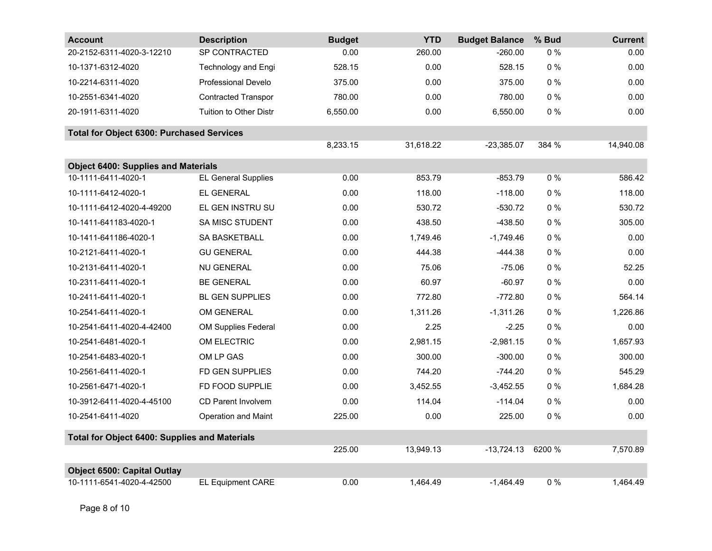| <b>Account</b>                                       | <b>Description</b>         | <b>Budget</b> | <b>YTD</b> | <b>Budget Balance</b> | % Bud  | <b>Current</b> |
|------------------------------------------------------|----------------------------|---------------|------------|-----------------------|--------|----------------|
| 20-2152-6311-4020-3-12210                            | SP CONTRACTED              | 0.00          | 260.00     | $-260.00$             | $0\%$  | 0.00           |
| 10-1371-6312-4020                                    | <b>Technology and Engi</b> | 528.15        | 0.00       | 528.15                | $0\%$  | 0.00           |
| 10-2214-6311-4020                                    | <b>Professional Develo</b> | 375.00        | 0.00       | 375.00                | $0\%$  | 0.00           |
| 10-2551-6341-4020                                    | <b>Contracted Transpor</b> | 780.00        | 0.00       | 780.00                | $0\%$  | 0.00           |
| 20-1911-6311-4020                                    | Tuition to Other Distr     | 6,550.00      | 0.00       | 6,550.00              | $0\%$  | 0.00           |
| <b>Total for Object 6300: Purchased Services</b>     |                            |               |            |                       |        |                |
|                                                      |                            | 8,233.15      | 31,618.22  | $-23,385.07$          | 384 %  | 14,940.08      |
| <b>Object 6400: Supplies and Materials</b>           |                            |               |            |                       |        |                |
| 10-1111-6411-4020-1                                  | <b>EL General Supplies</b> | 0.00          | 853.79     | $-853.79$             | $0\%$  | 586.42         |
| 10-1111-6412-4020-1                                  | EL GENERAL                 | 0.00          | 118.00     | $-118.00$             | $0\%$  | 118.00         |
| 10-1111-6412-4020-4-49200                            | EL GEN INSTRU SU           | 0.00          | 530.72     | $-530.72$             | $0\%$  | 530.72         |
| 10-1411-641183-4020-1                                | <b>SA MISC STUDENT</b>     | 0.00          | 438.50     | $-438.50$             | $0\%$  | 305.00         |
| 10-1411-641186-4020-1                                | SA BASKETBALL              | 0.00          | 1,749.46   | $-1,749.46$           | 0%     | 0.00           |
| 10-2121-6411-4020-1                                  | <b>GU GENERAL</b>          | 0.00          | 444.38     | $-444.38$             | $0\%$  | 0.00           |
| 10-2131-6411-4020-1                                  | <b>NU GENERAL</b>          | 0.00          | 75.06      | $-75.06$              | $0\%$  | 52.25          |
| 10-2311-6411-4020-1                                  | <b>BE GENERAL</b>          | 0.00          | 60.97      | $-60.97$              | $0\%$  | 0.00           |
| 10-2411-6411-4020-1                                  | <b>BL GEN SUPPLIES</b>     | 0.00          | 772.80     | $-772.80$             | $0\%$  | 564.14         |
| 10-2541-6411-4020-1                                  | OM GENERAL                 | 0.00          | 1,311.26   | $-1,311.26$           | $0\%$  | 1,226.86       |
| 10-2541-6411-4020-4-42400                            | <b>OM Supplies Federal</b> | 0.00          | 2.25       | $-2.25$               | $0\%$  | 0.00           |
| 10-2541-6481-4020-1                                  | OM ELECTRIC                | 0.00          | 2,981.15   | $-2,981.15$           | $0\%$  | 1.657.93       |
| 10-2541-6483-4020-1                                  | OM LP GAS                  | 0.00          | 300.00     | $-300.00$             | $0\%$  | 300.00         |
| 10-2561-6411-4020-1                                  | FD GEN SUPPLIES            | 0.00          | 744.20     | $-744.20$             | $0\%$  | 545.29         |
| 10-2561-6471-4020-1                                  | FD FOOD SUPPLIE            | 0.00          | 3,452.55   | $-3,452.55$           | $0\%$  | 1,684.28       |
| 10-3912-6411-4020-4-45100                            | <b>CD Parent Involvem</b>  | 0.00          | 114.04     | $-114.04$             | $0\%$  | 0.00           |
| 10-2541-6411-4020                                    | <b>Operation and Maint</b> | 225.00        | 0.00       | 225.00                | $0\%$  | 0.00           |
| <b>Total for Object 6400: Supplies and Materials</b> |                            |               |            |                       |        |                |
|                                                      |                            | 225.00        | 13,949.13  | $-13,724.13$          | 6200 % | 7,570.89       |
| <b>Object 6500: Capital Outlay</b>                   |                            |               |            |                       |        |                |
| 10-1111-6541-4020-4-42500                            | <b>EL Equipment CARE</b>   | 0.00          | 1,464.49   | $-1,464.49$           | $0\%$  | 1,464.49       |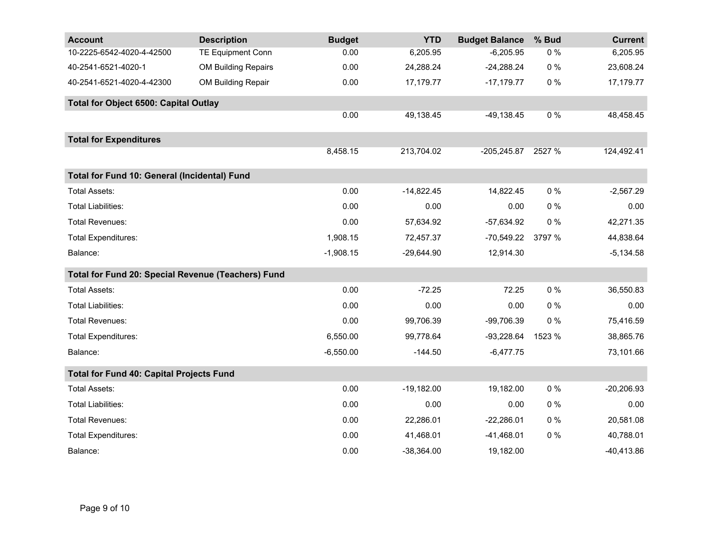| <b>Account</b>                                     | <b>Description</b>         | <b>Budget</b> | <b>YTD</b>   | <b>Budget Balance</b> | % Bud  | <b>Current</b> |
|----------------------------------------------------|----------------------------|---------------|--------------|-----------------------|--------|----------------|
| 10-2225-6542-4020-4-42500                          | <b>TE Equipment Conn</b>   | 0.00          | 6,205.95     | $-6,205.95$           | $0\%$  | 6,205.95       |
| 40-2541-6521-4020-1                                | <b>OM Building Repairs</b> | 0.00          | 24,288.24    | $-24,288.24$          | $0\%$  | 23,608.24      |
| 40-2541-6521-4020-4-42300                          | OM Building Repair         | 0.00          | 17,179.77    | $-17,179.77$          | $0\%$  | 17,179.77      |
| <b>Total for Object 6500: Capital Outlay</b>       |                            |               |              |                       |        |                |
|                                                    |                            | 0.00          | 49,138.45    | $-49,138.45$          | 0%     | 48,458.45      |
| <b>Total for Expenditures</b>                      |                            |               |              |                       |        |                |
|                                                    |                            | 8,458.15      | 213,704.02   | $-205,245.87$         | 2527 % | 124,492.41     |
| Total for Fund 10: General (Incidental) Fund       |                            |               |              |                       |        |                |
| Total Assets:                                      |                            | 0.00          | $-14,822.45$ | 14,822.45             | $0\%$  | $-2,567.29$    |
| <b>Total Liabilities:</b>                          |                            | 0.00          | 0.00         | 0.00                  | $0\%$  | 0.00           |
| <b>Total Revenues:</b>                             |                            | 0.00          | 57,634.92    | $-57,634.92$          | $0\%$  | 42,271.35      |
| <b>Total Expenditures:</b>                         |                            | 1,908.15      | 72,457.37    | $-70,549.22$          | 3797 % | 44,838.64      |
| Balance:                                           |                            | $-1,908.15$   | $-29,644.90$ | 12,914.30             |        | $-5,134.58$    |
| Total for Fund 20: Special Revenue (Teachers) Fund |                            |               |              |                       |        |                |
| <b>Total Assets:</b>                               |                            | 0.00          | $-72.25$     | 72.25                 | $0\%$  | 36,550.83      |
| <b>Total Liabilities:</b>                          |                            | 0.00          | 0.00         | 0.00                  | $0\%$  | 0.00           |
| <b>Total Revenues:</b>                             |                            | 0.00          | 99,706.39    | -99,706.39            | 0%     | 75,416.59      |
| <b>Total Expenditures:</b>                         |                            | 6,550.00      | 99,778.64    | $-93,228.64$          | 1523 % | 38,865.76      |
| Balance:                                           |                            | $-6,550.00$   | $-144.50$    | $-6,477.75$           |        | 73,101.66      |
| <b>Total for Fund 40: Capital Projects Fund</b>    |                            |               |              |                       |        |                |
| <b>Total Assets:</b>                               |                            | 0.00          | $-19,182.00$ | 19,182.00             | $0\%$  | $-20,206.93$   |
| <b>Total Liabilities:</b>                          |                            | 0.00          | 0.00         | 0.00                  | $0\%$  | 0.00           |
| <b>Total Revenues:</b>                             |                            | 0.00          | 22,286.01    | $-22,286.01$          | $0\%$  | 20,581.08      |
| <b>Total Expenditures:</b>                         |                            | 0.00          | 41,468.01    | $-41,468.01$          | $0\%$  | 40,788.01      |
| Balance:                                           |                            | 0.00          | $-38,364.00$ | 19,182.00             |        | $-40,413.86$   |